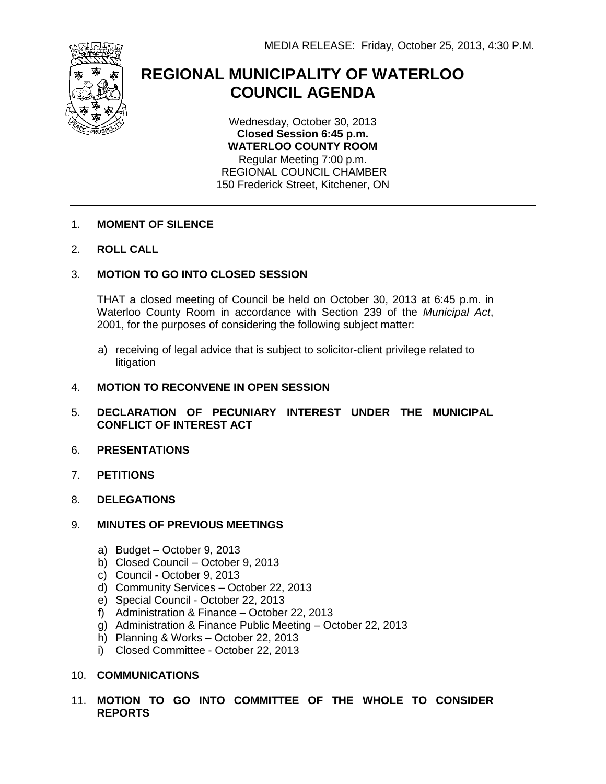

# **REGIONAL MUNICIPALITY OF WATERLOO COUNCIL AGENDA**

Wednesday, October 30, 2013 **Closed Session 6:45 p.m. WATERLOO COUNTY ROOM** Regular Meeting 7:00 p.m. REGIONAL COUNCIL CHAMBER 150 Frederick Street, Kitchener, ON

- 1. **MOMENT OF SILENCE**
- 2. **ROLL CALL**

# 3. **MOTION TO GO INTO CLOSED SESSION**

THAT a closed meeting of Council be held on October 30, 2013 at 6:45 p.m. in Waterloo County Room in accordance with Section 239 of the *Municipal Act*, 2001, for the purposes of considering the following subject matter:

a) receiving of legal advice that is subject to solicitor-client privilege related to litigation

#### 4. **MOTION TO RECONVENE IN OPEN SESSION**

- 5. **DECLARATION OF PECUNIARY INTEREST UNDER THE MUNICIPAL CONFLICT OF INTEREST ACT**
- 6. **PRESENTATIONS**
- 7. **PETITIONS**
- 8. **DELEGATIONS**
- 9. **MINUTES OF PREVIOUS MEETINGS**
	- a) Budget October 9, 2013
	- b) Closed Council October 9, 2013
	- c) Council October 9, 2013
	- d) Community Services October 22, 2013
	- e) Special Council October 22, 2013
	- f) Administration & Finance October 22, 2013
	- g) Administration & Finance Public Meeting October 22, 2013
	- h) Planning & Works October 22, 2013
	- i) Closed Committee October 22, 2013

# 10. **COMMUNICATIONS**

11. **MOTION TO GO INTO COMMITTEE OF THE WHOLE TO CONSIDER REPORTS**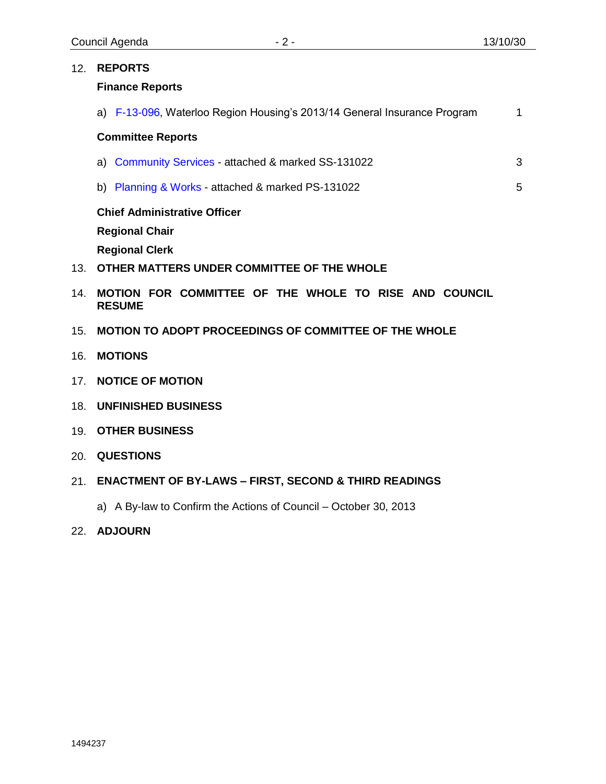5

|  | 12. REPORTS                                                              |  |  |
|--|--------------------------------------------------------------------------|--|--|
|  | <b>Finance Reports</b>                                                   |  |  |
|  | a) F-13-096, Waterloo Region Housing's 2013/14 General Insurance Program |  |  |

## **Committee Reports**

| a) Community Services - attached & marked SS-131022 |  |
|-----------------------------------------------------|--|
|-----------------------------------------------------|--|

b) [Planning & Works](#page-5-0) - attached & marked PS-131022

**Chief Administrative Officer**

**Regional Chair**

**Regional Clerk**

- 13. **OTHER MATTERS UNDER COMMITTEE OF THE WHOLE**
- 14. **MOTION FOR COMMITTEE OF THE WHOLE TO RISE AND COUNCIL RESUME**
- 15. **MOTION TO ADOPT PROCEEDINGS OF COMMITTEE OF THE WHOLE**
- 16. **MOTIONS**
- 17. **NOTICE OF MOTION**
- 18. **UNFINISHED BUSINESS**
- 19. **OTHER BUSINESS**
- 20. **QUESTIONS**
- 21. **ENACTMENT OF BY-LAWS – FIRST, SECOND & THIRD READINGS**
	- a) A By-law to Confirm the Actions of Council October 30, 2013
- 22. **ADJOURN**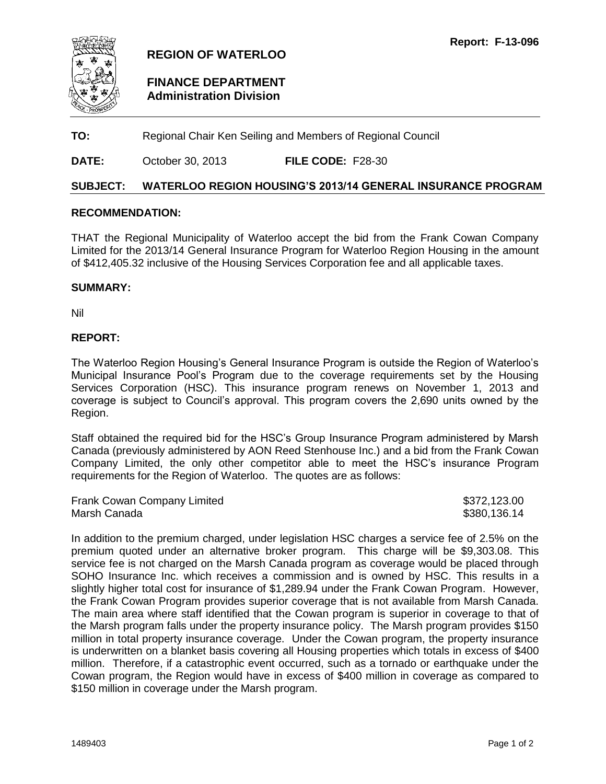<span id="page-2-0"></span>

# **REGION OF WATERLOO**

# **FINANCE DEPARTMENT Administration Division**

**TO:** Regional Chair Ken Seiling and Members of Regional Council

**DATE:** October 30, 2013 **FILE CODE:** F28-30

#### **SUBJECT: WATERLOO REGION HOUSING'S 2013/14 GENERAL INSURANCE PROGRAM**

#### **RECOMMENDATION:**

THAT the Regional Municipality of Waterloo accept the bid from the Frank Cowan Company Limited for the 2013/14 General Insurance Program for Waterloo Region Housing in the amount of \$412,405.32 inclusive of the Housing Services Corporation fee and all applicable taxes.

#### **SUMMARY:**

Nil

#### **REPORT:**

The Waterloo Region Housing's General Insurance Program is outside the Region of Waterloo's Municipal Insurance Pool's Program due to the coverage requirements set by the Housing Services Corporation (HSC). This insurance program renews on November 1, 2013 and coverage is subject to Council's approval. This program covers the 2,690 units owned by the Region.

Staff obtained the required bid for the HSC's Group Insurance Program administered by Marsh Canada (previously administered by AON Reed Stenhouse Inc.) and a bid from the Frank Cowan Company Limited, the only other competitor able to meet the HSC's insurance Program requirements for the Region of Waterloo. The quotes are as follows:

| Frank Cowan Company Limited | \$372,123.00 |
|-----------------------------|--------------|
| Marsh Canada                | \$380,136.14 |

In addition to the premium charged, under legislation HSC charges a service fee of 2.5% on the premium quoted under an alternative broker program. This charge will be \$9,303.08. This service fee is not charged on the Marsh Canada program as coverage would be placed through SOHO Insurance Inc. which receives a commission and is owned by HSC. This results in a slightly higher total cost for insurance of \$1,289.94 under the Frank Cowan Program. However, the Frank Cowan Program provides superior coverage that is not available from Marsh Canada. The main area where staff identified that the Cowan program is superior in coverage to that of the Marsh program falls under the property insurance policy. The Marsh program provides \$150 million in total property insurance coverage. Under the Cowan program, the property insurance is underwritten on a blanket basis covering all Housing properties which totals in excess of \$400 million. Therefore, if a catastrophic event occurred, such as a tornado or earthquake under the Cowan program, the Region would have in excess of \$400 million in coverage as compared to \$150 million in coverage under the Marsh program.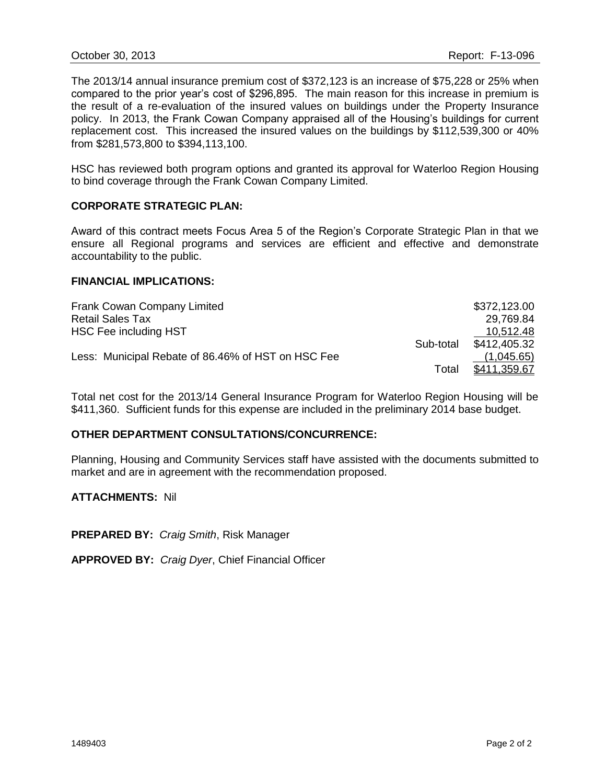The 2013/14 annual insurance premium cost of \$372,123 is an increase of \$75,228 or 25% when compared to the prior year's cost of \$296,895. The main reason for this increase in premium is the result of a re-evaluation of the insured values on buildings under the Property Insurance policy. In 2013, the Frank Cowan Company appraised all of the Housing's buildings for current replacement cost. This increased the insured values on the buildings by \$112,539,300 or 40% from \$281,573,800 to \$394,113,100.

HSC has reviewed both program options and granted its approval for Waterloo Region Housing to bind coverage through the Frank Cowan Company Limited.

#### **CORPORATE STRATEGIC PLAN:**

Award of this contract meets Focus Area 5 of the Region's Corporate Strategic Plan in that we ensure all Regional programs and services are efficient and effective and demonstrate accountability to the public.

#### **FINANCIAL IMPLICATIONS:**

| Frank Cowan Company Limited                        |           | \$372,123.00 |
|----------------------------------------------------|-----------|--------------|
| <b>Retail Sales Tax</b>                            |           | 29,769.84    |
| HSC Fee including HST                              |           | 10,512.48    |
|                                                    | Sub-total | \$412,405.32 |
| Less: Municipal Rebate of 86.46% of HST on HSC Fee |           | (1,045.65)   |
|                                                    | Total     | \$411,359.67 |

Total net cost for the 2013/14 General Insurance Program for Waterloo Region Housing will be \$411,360. Sufficient funds for this expense are included in the preliminary 2014 base budget.

#### **OTHER DEPARTMENT CONSULTATIONS/CONCURRENCE:**

Planning, Housing and Community Services staff have assisted with the documents submitted to market and are in agreement with the recommendation proposed.

#### **ATTACHMENTS:** Nil

**PREPARED BY:** *Craig Smith*, Risk Manager

**APPROVED BY:** *Craig Dyer*, Chief Financial Officer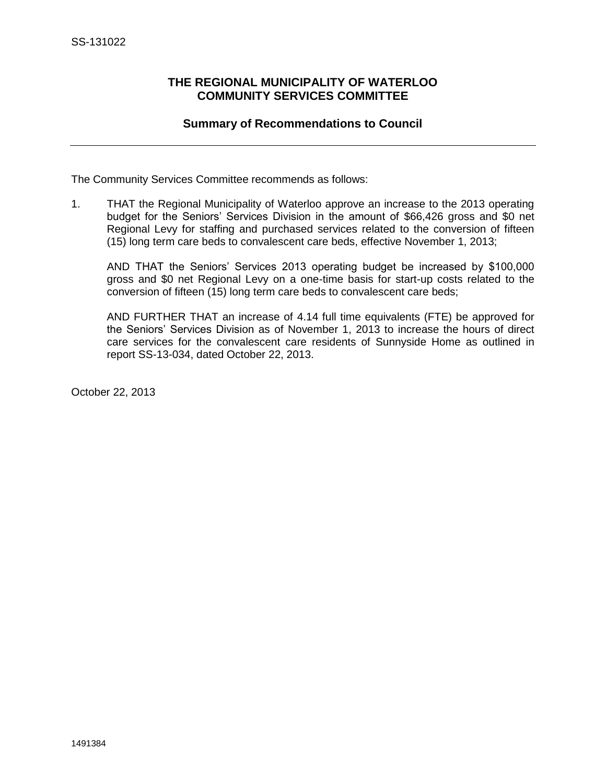# <span id="page-4-0"></span>**THE REGIONAL MUNICIPALITY OF WATERLOO COMMUNITY SERVICES COMMITTEE**

# **Summary of Recommendations to Council**

The Community Services Committee recommends as follows:

1. THAT the Regional Municipality of Waterloo approve an increase to the 2013 operating budget for the Seniors' Services Division in the amount of \$66,426 gross and \$0 net Regional Levy for staffing and purchased services related to the conversion of fifteen (15) long term care beds to convalescent care beds, effective November 1, 2013;

AND THAT the Seniors' Services 2013 operating budget be increased by \$100,000 gross and \$0 net Regional Levy on a one-time basis for start-up costs related to the conversion of fifteen (15) long term care beds to convalescent care beds;

AND FURTHER THAT an increase of 4.14 full time equivalents (FTE) be approved for the Seniors' Services Division as of November 1, 2013 to increase the hours of direct care services for the convalescent care residents of Sunnyside Home as outlined in report SS-13-034, dated October 22, 2013.

October 22, 2013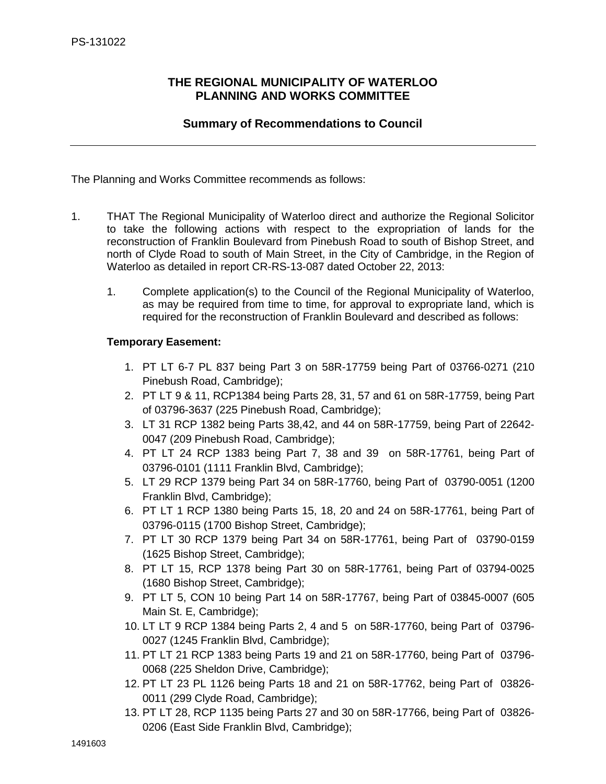# <span id="page-5-0"></span>**THE REGIONAL MUNICIPALITY OF WATERLOO PLANNING AND WORKS COMMITTEE**

# **Summary of Recommendations to Council**

The Planning and Works Committee recommends as follows:

- 1. THAT The Regional Municipality of Waterloo direct and authorize the Regional Solicitor to take the following actions with respect to the expropriation of lands for the reconstruction of Franklin Boulevard from Pinebush Road to south of Bishop Street, and north of Clyde Road to south of Main Street, in the City of Cambridge, in the Region of Waterloo as detailed in report CR-RS-13-087 dated October 22, 2013:
	- 1. Complete application(s) to the Council of the Regional Municipality of Waterloo, as may be required from time to time, for approval to expropriate land, which is required for the reconstruction of Franklin Boulevard and described as follows:

## **Temporary Easement:**

- 1. PT LT 6-7 PL 837 being Part 3 on 58R-17759 being Part of 03766-0271 (210 Pinebush Road, Cambridge);
- 2. PT LT 9 & 11, RCP1384 being Parts 28, 31, 57 and 61 on 58R-17759, being Part of 03796-3637 (225 Pinebush Road, Cambridge);
- 3. LT 31 RCP 1382 being Parts 38,42, and 44 on 58R-17759, being Part of 22642- 0047 (209 Pinebush Road, Cambridge);
- 4. PT LT 24 RCP 1383 being Part 7, 38 and 39 on 58R-17761, being Part of 03796-0101 (1111 Franklin Blvd, Cambridge);
- 5. LT 29 RCP 1379 being Part 34 on 58R-17760, being Part of 03790-0051 (1200 Franklin Blvd, Cambridge);
- 6. PT LT 1 RCP 1380 being Parts 15, 18, 20 and 24 on 58R-17761, being Part of 03796-0115 (1700 Bishop Street, Cambridge);
- 7. PT LT 30 RCP 1379 being Part 34 on 58R-17761, being Part of 03790-0159 (1625 Bishop Street, Cambridge);
- 8. PT LT 15, RCP 1378 being Part 30 on 58R-17761, being Part of 03794-0025 (1680 Bishop Street, Cambridge);
- 9. PT LT 5, CON 10 being Part 14 on 58R-17767, being Part of 03845-0007 (605 Main St. E, Cambridge);
- 10. LT LT 9 RCP 1384 being Parts 2, 4 and 5 on 58R-17760, being Part of 03796- 0027 (1245 Franklin Blvd, Cambridge);
- 11. PT LT 21 RCP 1383 being Parts 19 and 21 on 58R-17760, being Part of 03796- 0068 (225 Sheldon Drive, Cambridge);
- 12. PT LT 23 PL 1126 being Parts 18 and 21 on 58R-17762, being Part of 03826- 0011 (299 Clyde Road, Cambridge);
- 13. PT LT 28, RCP 1135 being Parts 27 and 30 on 58R-17766, being Part of 03826- 0206 (East Side Franklin Blvd, Cambridge);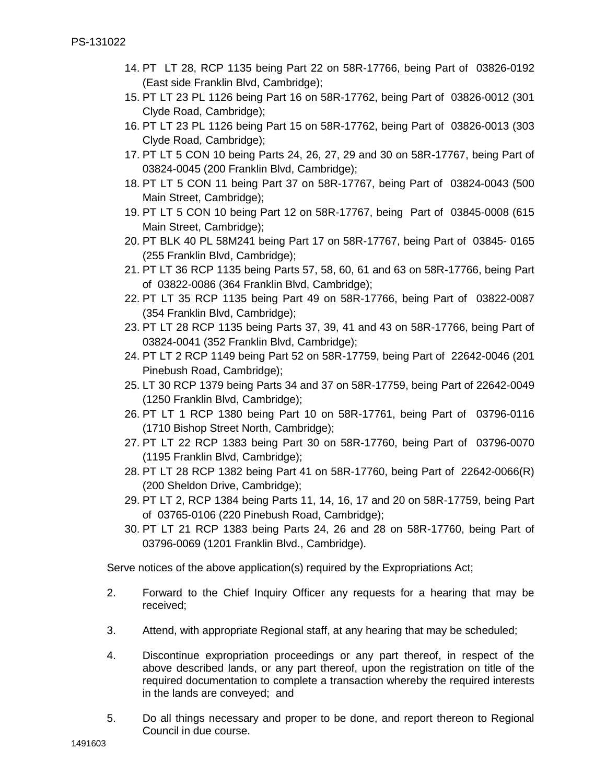- 14. PT LT 28, RCP 1135 being Part 22 on 58R-17766, being Part of 03826-0192 (East side Franklin Blvd, Cambridge);
- 15. PT LT 23 PL 1126 being Part 16 on 58R-17762, being Part of 03826-0012 (301 Clyde Road, Cambridge);
- 16. PT LT 23 PL 1126 being Part 15 on 58R-17762, being Part of 03826-0013 (303 Clyde Road, Cambridge);
- 17. PT LT 5 CON 10 being Parts 24, 26, 27, 29 and 30 on 58R-17767, being Part of 03824-0045 (200 Franklin Blvd, Cambridge);
- 18. PT LT 5 CON 11 being Part 37 on 58R-17767, being Part of 03824-0043 (500 Main Street, Cambridge);
- 19. PT LT 5 CON 10 being Part 12 on 58R-17767, being Part of 03845-0008 (615 Main Street, Cambridge);
- 20. PT BLK 40 PL 58M241 being Part 17 on 58R-17767, being Part of 03845- 0165 (255 Franklin Blvd, Cambridge);
- 21. PT LT 36 RCP 1135 being Parts 57, 58, 60, 61 and 63 on 58R-17766, being Part of 03822-0086 (364 Franklin Blvd, Cambridge);
- 22. PT LT 35 RCP 1135 being Part 49 on 58R-17766, being Part of 03822-0087 (354 Franklin Blvd, Cambridge);
- 23. PT LT 28 RCP 1135 being Parts 37, 39, 41 and 43 on 58R-17766, being Part of 03824-0041 (352 Franklin Blvd, Cambridge);
- 24. PT LT 2 RCP 1149 being Part 52 on 58R-17759, being Part of 22642-0046 (201 Pinebush Road, Cambridge);
- 25. LT 30 RCP 1379 being Parts 34 and 37 on 58R-17759, being Part of 22642-0049 (1250 Franklin Blvd, Cambridge);
- 26. PT LT 1 RCP 1380 being Part 10 on 58R-17761, being Part of 03796-0116 (1710 Bishop Street North, Cambridge);
- 27. PT LT 22 RCP 1383 being Part 30 on 58R-17760, being Part of 03796-0070 (1195 Franklin Blvd, Cambridge);
- 28. PT LT 28 RCP 1382 being Part 41 on 58R-17760, being Part of 22642-0066(R) (200 Sheldon Drive, Cambridge);
- 29. PT LT 2, RCP 1384 being Parts 11, 14, 16, 17 and 20 on 58R-17759, being Part of 03765-0106 (220 Pinebush Road, Cambridge);
- 30. PT LT 21 RCP 1383 being Parts 24, 26 and 28 on 58R-17760, being Part of 03796-0069 (1201 Franklin Blvd., Cambridge).

Serve notices of the above application(s) required by the Expropriations Act;

- 2. Forward to the Chief Inquiry Officer any requests for a hearing that may be received;
- 3. Attend, with appropriate Regional staff, at any hearing that may be scheduled;
- 4. Discontinue expropriation proceedings or any part thereof, in respect of the above described lands, or any part thereof, upon the registration on title of the required documentation to complete a transaction whereby the required interests in the lands are conveyed; and
- 5. Do all things necessary and proper to be done, and report thereon to Regional Council in due course.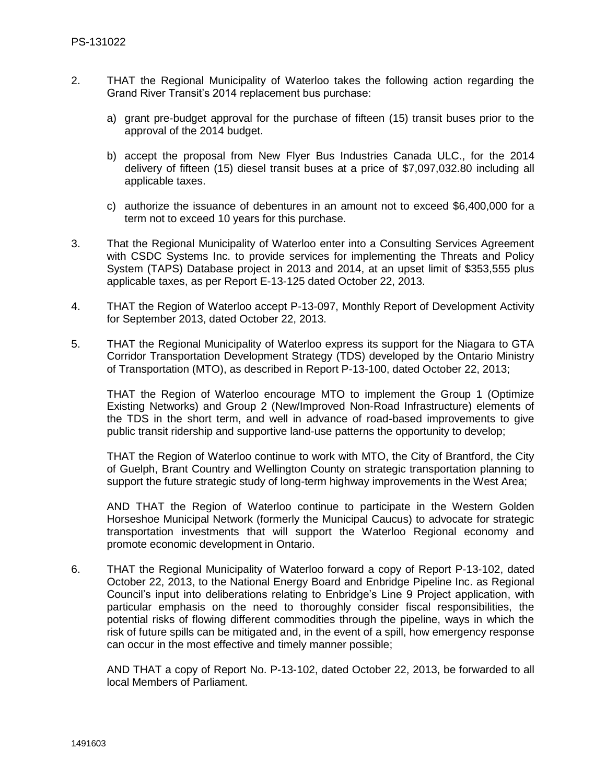- 2. THAT the Regional Municipality of Waterloo takes the following action regarding the Grand River Transit's 2014 replacement bus purchase:
	- a) grant pre-budget approval for the purchase of fifteen (15) transit buses prior to the approval of the 2014 budget.
	- b) accept the proposal from New Flyer Bus Industries Canada ULC., for the 2014 delivery of fifteen (15) diesel transit buses at a price of \$7,097,032.80 including all applicable taxes.
	- c) authorize the issuance of debentures in an amount not to exceed \$6,400,000 for a term not to exceed 10 years for this purchase.
- 3. That the Regional Municipality of Waterloo enter into a Consulting Services Agreement with CSDC Systems Inc. to provide services for implementing the Threats and Policy System (TAPS) Database project in 2013 and 2014, at an upset limit of \$353,555 plus applicable taxes, as per Report E-13-125 dated October 22, 2013.
- 4. THAT the Region of Waterloo accept P-13-097, Monthly Report of Development Activity for September 2013, dated October 22, 2013.
- 5. THAT the Regional Municipality of Waterloo express its support for the Niagara to GTA Corridor Transportation Development Strategy (TDS) developed by the Ontario Ministry of Transportation (MTO), as described in Report P-13-100, dated October 22, 2013;

THAT the Region of Waterloo encourage MTO to implement the Group 1 (Optimize Existing Networks) and Group 2 (New/Improved Non-Road Infrastructure) elements of the TDS in the short term, and well in advance of road-based improvements to give public transit ridership and supportive land-use patterns the opportunity to develop;

THAT the Region of Waterloo continue to work with MTO, the City of Brantford, the City of Guelph, Brant Country and Wellington County on strategic transportation planning to support the future strategic study of long-term highway improvements in the West Area;

AND THAT the Region of Waterloo continue to participate in the Western Golden Horseshoe Municipal Network (formerly the Municipal Caucus) to advocate for strategic transportation investments that will support the Waterloo Regional economy and promote economic development in Ontario.

6. THAT the Regional Municipality of Waterloo forward a copy of Report P-13-102, dated October 22, 2013, to the National Energy Board and Enbridge Pipeline Inc. as Regional Council's input into deliberations relating to Enbridge's Line 9 Project application, with particular emphasis on the need to thoroughly consider fiscal responsibilities, the potential risks of flowing different commodities through the pipeline, ways in which the risk of future spills can be mitigated and, in the event of a spill, how emergency response can occur in the most effective and timely manner possible;

AND THAT a copy of Report No. P-13-102, dated October 22, 2013, be forwarded to all local Members of Parliament.